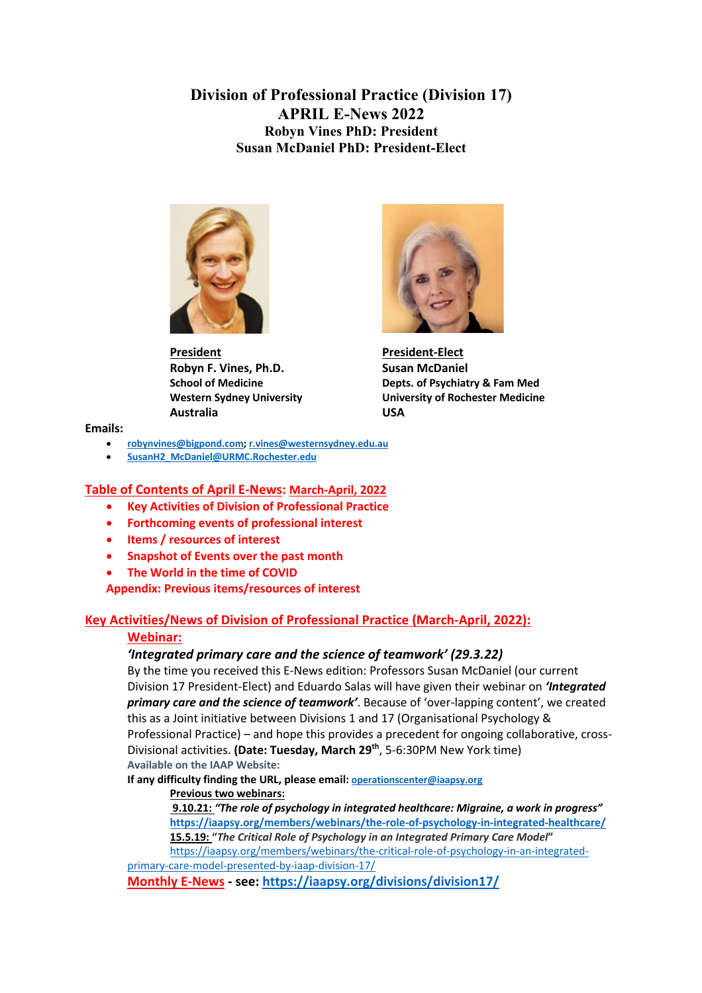**Division of Professional Practice (Division 17) APRIL E-News 2022 Robyn Vines PhD: President Susan McDaniel PhD: President-Elect**



**President President-Elect Robyn F. Vines, Ph.D.** Susan McDaniel **Australia USA**



**School of Medicine Depts. of Psychiatry & Fam Med Western Sydney University University of Rochester Medicine**

**Emails:**

- **robynvines@bigpond.com; r.vines@westernsydney.edu.au**
- **SusanH2\_McDaniel@URMC.Rochester.edu**

#### **Table of Contents of April E-News: March-April, 2022**

- **Key Activities of Division of Professional Practice**
- **Forthcoming events of professional interest**
- **Items / resources of interest**
- **Snapshot of Events over the past month**
- **The World in the time of COVID**

**Appendix: Previous items/resources of interest**

## **Key Activities/News of Division of Professional Practice (March-April, 2022):**

#### **Webinar:**

## *'Integrated primary care and the science of teamwork' (29.3.22)*

By the time you received this E-News edition: Professors Susan McDaniel (our current Division 17 President-Elect) and Eduardo Salas will have given their webinar on *'Integrated primary care and the science of teamwork'*. Because of 'over-lapping content', we created this as a Joint initiative between Divisions 1 and 17 (Organisational Psychology & Professional Practice) – and hope this provides a precedent for ongoing collaborative, cross-Divisional activities. **(Date: Tuesday, March 29th**, 5-6:30PM New York time) **Available on the IAAP Website:** 

**If any difficulty finding the URL, please email: operationscenter@iaapsy.org**

## **Previous two webinars:**

**9.10.21:** *"The role of psychology in integrated healthcare: Migraine, a work in progress"*  **https://iaapsy.org/members/webinars/the-role-of-psychology-in-integrated-healthcare/**

**15.5.19: "***The Critical Role of Psychology in an Integrated Primary Care Model***"**  https://iaapsy.org/members/webinars/the-critical-role-of-psychology-in-an-integratedprimary-care-model-presented-by-iaap-division-17/

**Monthly E-News - see: https://iaapsy.org/divisions/division17/**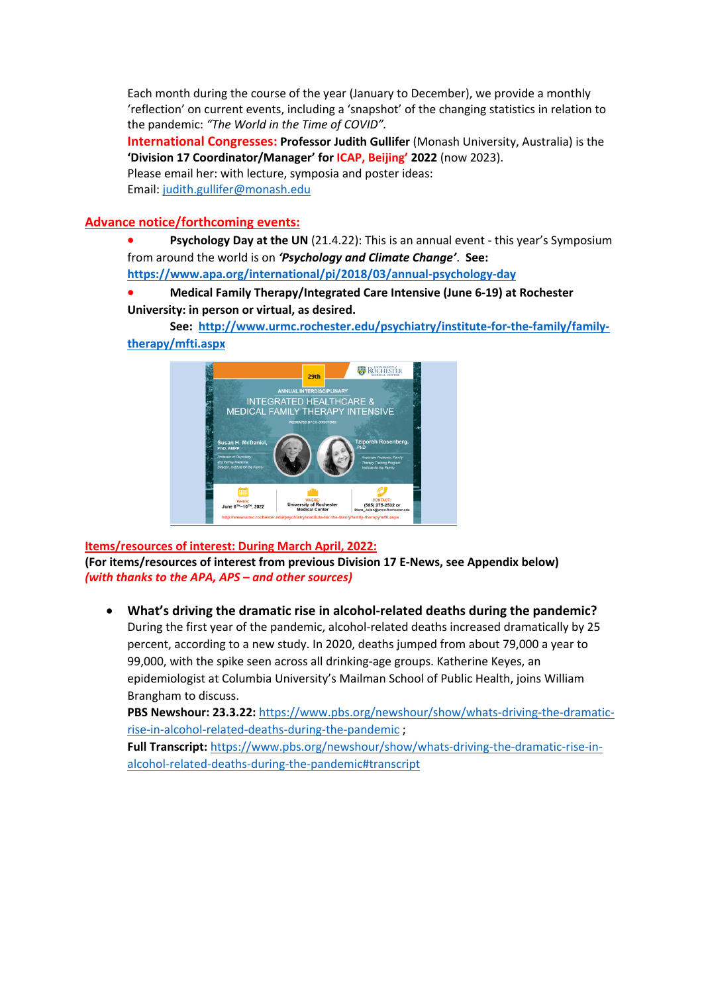Each month during the course of the year (January to December), we provide a monthly 'reflection' on current events, including a 'snapshot' of the changing statistics in relation to the pandemic: *"The World in the Time of COVID".*

**International Congresses: Professor Judith Gullifer** (Monash University, Australia) is the **'Division 17 Coordinator/Manager' for ICAP, Beijing' 2022** (now 2023). Please email her: with lecture, symposia and poster ideas: Email: judith.gullifer@monash.edu

#### **Advance notice/forthcoming events:**

**Psychology Day at the UN** (21.4.22): This is an annual event - this year's Symposium from around the world is on *'Psychology and Climate Change'*. **See:** 

**https://www.apa.org/international/pi/2018/03/annual-psychology-day**

## • **Medical Family Therapy/Integrated Care Intensive (June 6-19) at Rochester University: in person or virtual, as desired.**

**See: http://www.urmc.rochester.edu/psychiatry/institute-for-the-family/familytherapy/mfti.aspx**



**Items/resources of interest: During March April, 2022: (For items/resources of interest from previous Division 17 E-News, see Appendix below)** *(with thanks to the APA, APS – and other sources)*

• **What's driving the dramatic rise in alcohol-related deaths during the pandemic?** During the first year of the pandemic, alcohol-related deaths increased dramatically by 25 percent, according to a new study. In 2020, deaths jumped from about 79,000 a year to 99,000, with the spike seen across all drinking-age groups. Katherine Keyes, an epidemiologist at Columbia University's Mailman School of Public Health, joins William Brangham to discuss.

PBS Newshour: 23.3.22: https://www.pbs.org/newshour/show/whats-driving-the-dramaticrise-in-alcohol-related-deaths-during-the-pandemic ;

**Full Transcript:** https://www.pbs.org/newshour/show/whats-driving-the-dramatic-rise-inalcohol-related-deaths-during-the-pandemic#transcript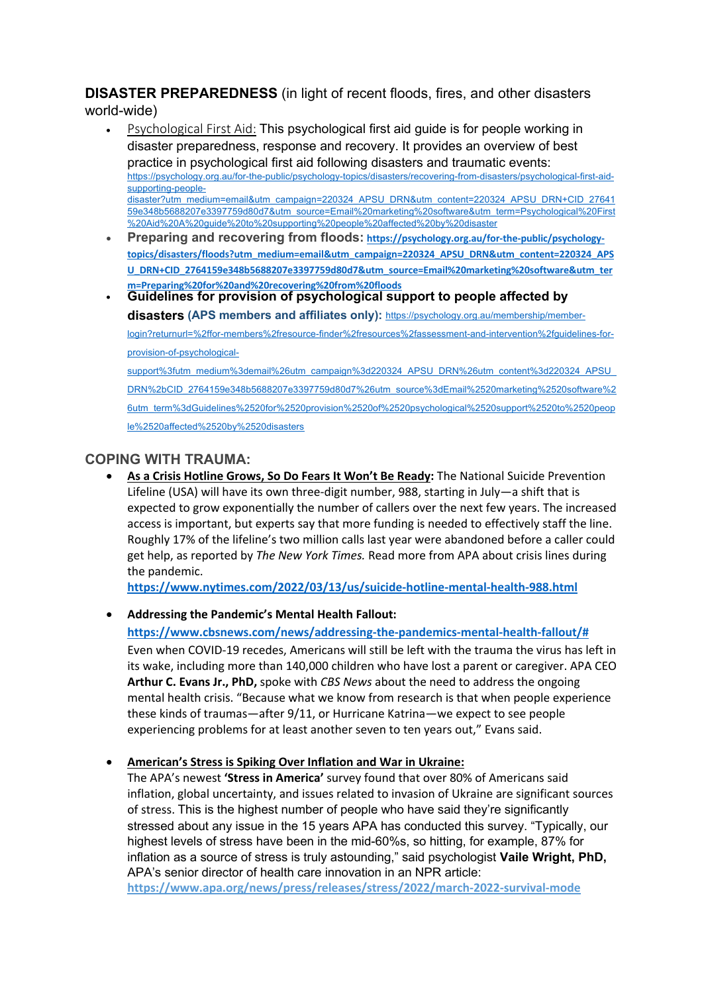# **DISASTER PREPAREDNESS** (in light of recent floods, fires, and other disasters

world-wide)

- Psychological First Aid: This psychological first aid guide is for people working in disaster preparedness, response and recovery. It provides an overview of best practice in psychological first aid following disasters and traumatic events: https://psychology.org.au/for-the-public/psychology-topics/disasters/recovering-from-disasters/psychological-first-aidsupporting-peopledisaster?utm\_medium=email&utm\_campaign=220324\_APSU\_DRN&utm\_content=220324\_APSU\_DRN+CID\_27641 59e348b5688207e3397759d80d7&utm\_source=Email%20marketing%20software&utm\_term=Psychological%20First %20Aid%20A%20guide%20to%20supporting%20people%20affected%20by%20disaster
- **Preparing and recovering from floods: https://psychology.org.au/for-the-public/psychologytopics/disasters/floods?utm\_medium=email&utm\_campaign=220324\_APSU\_DRN&utm\_content=220324\_APS U\_DRN+CID\_2764159e348b5688207e3397759d80d7&utm\_source=Email%20marketing%20software&utm\_ter m=Preparing%20for%20and%20recovering%20from%20floods**
- **Guidelines for provision of psychological support to people affected by disasters (APS members and affiliates only):** https://psychology.org.au/membership/memberlogin?returnurl=%2ffor-members%2fresource-finder%2fresources%2fassessment-and-intervention%2fguidelines-forprovision-of-psychologicalsupport%3futm\_medium%3demail%26utm\_campaign%3d220324\_APSU\_DRN%26utm\_content%3d220324\_APSU\_ DRN%2bCID\_2764159e348b5688207e3397759d80d7%26utm\_source%3dEmail%2520marketing%2520software%2 6utm\_term%3dGuidelines%2520for%2520provision%2520of%2520psychological%2520support%2520to%2520peop

le%2520affected%2520by%2520disasters

# **COPING WITH TRAUMA:**

• **As a Crisis Hotline Grows, So Do Fears It Won't Be Ready:** The National Suicide Prevention Lifeline (USA) will have its own three-digit number, 988, starting in July—a shift that is expected to grow exponentially the number of callers over the next few years. The increased access is important, but experts say that more funding is needed to effectively staff the line. Roughly 17% of the lifeline's two million calls last year were abandoned before a caller could get help, as reported by *The New York Times.* Read more from APA about crisis lines during the pandemic.

**https://www.nytimes.com/2022/03/13/us/suicide-hotline-mental-health-988.html**

# • **Addressing the Pandemic's Mental Health Fallout:**

**https://www.cbsnews.com/news/addressing-the-pandemics-mental-health-fallout/#** Even when COVID-19 recedes, Americans will still be left with the trauma the virus has left in its wake, including more than 140,000 children who have lost a parent or caregiver. APA CEO **Arthur C. Evans Jr., PhD,** spoke with *CBS News* about the need to address the ongoing mental health crisis. "Because what we know from research is that when people experience these kinds of traumas—after 9/11, or Hurricane Katrina—we expect to see people experiencing problems for at least another seven to ten years out," Evans said.

# • **American's Stress is Spiking Over Inflation and War in Ukraine:**

The APA's newest **'Stress in America'** survey found that over 80% of Americans said inflation, global uncertainty, and issues related to invasion of Ukraine are significant sources of stress. This is the highest number of people who have said they're significantly stressed about any issue in the 15 years APA has conducted this survey. "Typically, our highest levels of stress have been in the mid-60%s, so hitting, for example, 87% for inflation as a source of stress is truly astounding," said psychologist **Vaile Wright, PhD,** APA's senior director of health care innovation in an NPR article:

**https://www.apa.org/news/press/releases/stress/2022/march-2022-survival-mode**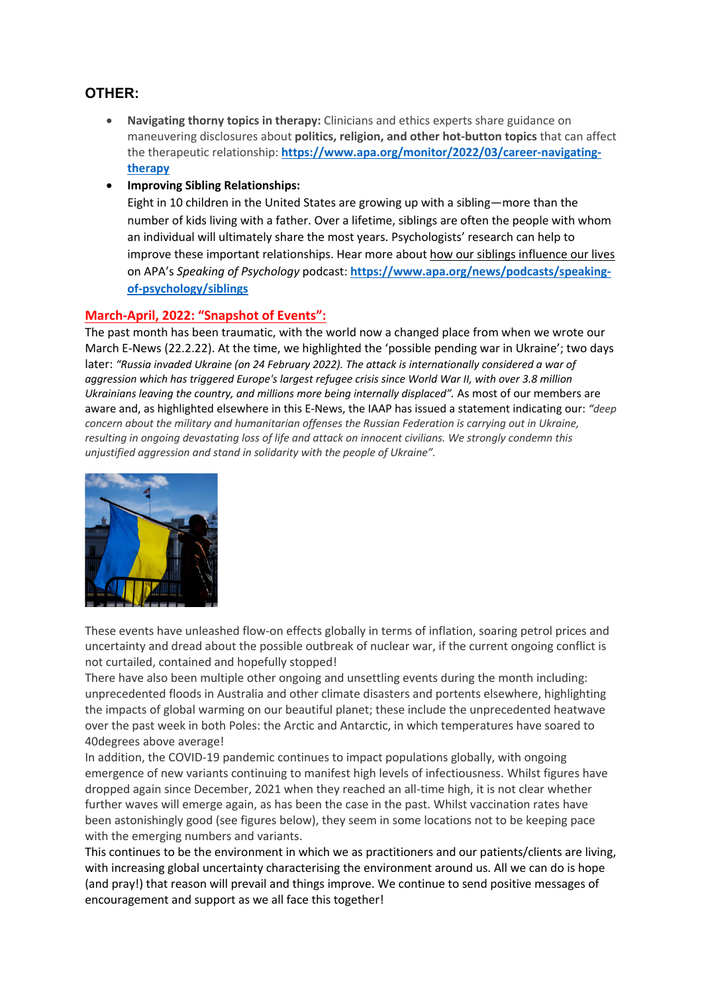# **OTHER:**

- **Navigating thorny topics in therapy:** Clinicians and ethics experts share guidance on maneuvering disclosures about **politics, religion, and other hot-button topics** that can affect the therapeutic relationship: **https://www.apa.org/monitor/2022/03/career-navigatingtherapy**
- **Improving Sibling Relationships:**

Eight in 10 children in the United States are growing up with a sibling—more than the number of kids living with a father. Over a lifetime, siblings are often the people with whom an individual will ultimately share the most years. Psychologists' research can help to improve these important relationships. Hear more about how our siblings influence our lives on APA's *Speaking of Psychology* podcast: **https://www.apa.org/news/podcasts/speakingof-psychology/siblings**

## **March-April, 2022: "Snapshot of Events":**

The past month has been traumatic, with the world now a changed place from when we wrote our March E-News (22.2.22). At the time, we highlighted the 'possible pending war in Ukraine'; two days later: *"Russia invaded Ukraine (on 24 February 2022). The attack is internationally considered a war of aggression which has triggered Europe's largest refugee crisis since World War II, with over 3.8 million Ukrainians leaving the country, and millions more being internally displaced".* As most of our members are aware and, as highlighted elsewhere in this E-News, the IAAP has issued a statement indicating our: *"deep concern about the military and humanitarian offenses the Russian Federation is carrying out in Ukraine, resulting in ongoing devastating loss of life and attack on innocent civilians. We strongly condemn this unjustified aggression and stand in solidarity with the people of Ukraine".* 



These events have unleashed flow-on effects globally in terms of inflation, soaring petrol prices and uncertainty and dread about the possible outbreak of nuclear war, if the current ongoing conflict is not curtailed, contained and hopefully stopped!

There have also been multiple other ongoing and unsettling events during the month including: unprecedented floods in Australia and other climate disasters and portents elsewhere, highlighting the impacts of global warming on our beautiful planet; these include the unprecedented heatwave over the past week in both Poles: the Arctic and Antarctic, in which temperatures have soared to 40degrees above average!

In addition, the COVID-19 pandemic continues to impact populations globally, with ongoing emergence of new variants continuing to manifest high levels of infectiousness. Whilst figures have dropped again since December, 2021 when they reached an all-time high, it is not clear whether further waves will emerge again, as has been the case in the past. Whilst vaccination rates have been astonishingly good (see figures below), they seem in some locations not to be keeping pace with the emerging numbers and variants.

This continues to be the environment in which we as practitioners and our patients/clients are living, with increasing global uncertainty characterising the environment around us. All we can do is hope (and pray!) that reason will prevail and things improve. We continue to send positive messages of encouragement and support as we all face this together!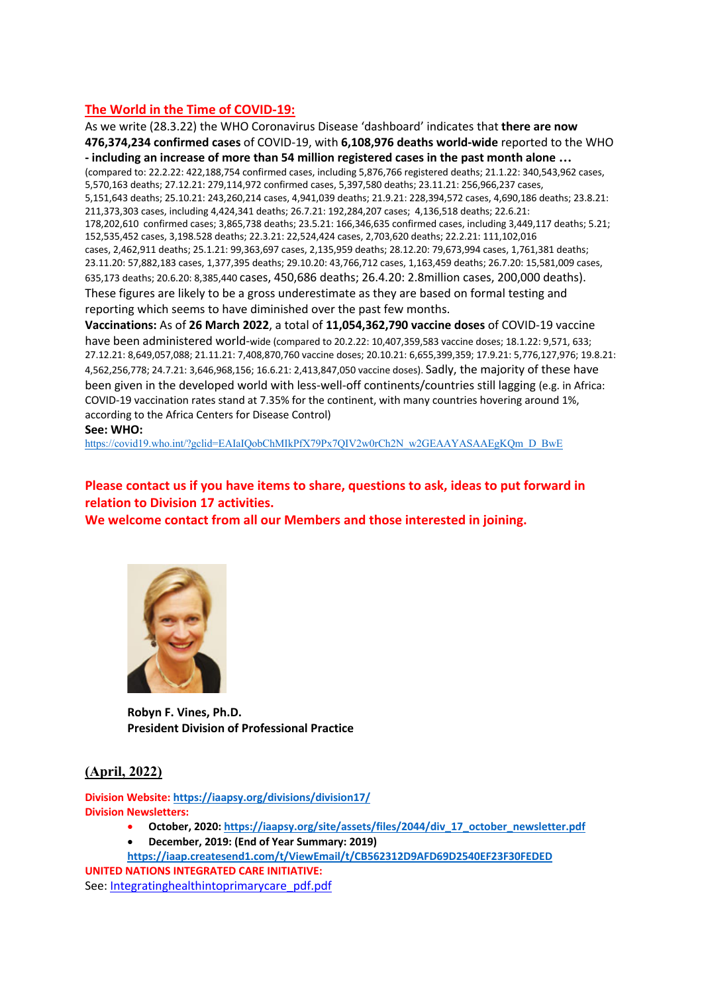## **The World in the Time of COVID-19:**

As we write (28.3.22) the WHO Coronavirus Disease 'dashboard' indicates that **there are now 476,374,234 confirmed cases** of COVID-19, with **6,108,976 deaths world-wide** reported to the WHO **- including an increase of more than 54 million registered cases in the past month alone …** (compared to: 22.2.22: 422,188,754 confirmed cases, including 5,876,766 registered deaths; 21.1.22: 340,543,962 cases, 5,570,163 deaths; 27.12.21: 279,114,972 confirmed cases, 5,397,580 deaths; 23.11.21: 256,966,237 cases, 5,151,643 deaths; 25.10.21: 243,260,214 cases, 4,941,039 deaths; 21.9.21: 228,394,572 cases, 4,690,186 deaths; 23.8.21: 211,373,303 cases, including 4,424,341 deaths; 26.7.21: 192,284,207 cases; 4,136,518 deaths; 22.6.21: 178,202,610 confirmed cases; 3,865,738 deaths; 23.5.21: 166,346,635 confirmed cases, including 3,449,117 deaths; 5.21; 152,535,452 cases, 3,198.528 deaths; 22.3.21: 22,524,424 cases, 2,703,620 deaths; 22.2.21: 111,102,016 cases, 2,462,911 deaths; 25.1.21: 99,363,697 cases, 2,135,959 deaths; 28.12.20: 79,673,994 cases, 1,761,381 deaths; 23.11.20: 57,882,183 cases, 1,377,395 deaths; 29.10.20: 43,766,712 cases, 1,163,459 deaths; 26.7.20: 15,581,009 cases, 635,173 deaths; 20.6.20: 8,385,440 cases, 450,686 deaths; 26.4.20: 2.8million cases, 200,000 deaths). These figures are likely to be a gross underestimate as they are based on formal testing and reporting which seems to have diminished over the past few months. **Vaccinations:** As of **26 March 2022**, a total of **11,054,362,790 vaccine doses** of COVID-19 vaccine

have been administered world-wide (compared to 20.2.22: 10,407,359,583 vaccine doses; 18.1.22: 9,571, 633; 27.12.21: 8,649,057,088; 21.11.21: 7,408,870,760 vaccine doses; 20.10.21: 6,655,399,359; 17.9.21: 5,776,127,976; 19.8.21: 4,562,256,778; 24.7.21: 3,646,968,156; 16.6.21: 2,413,847,050 vaccine doses). Sadly, the majority of these have been given in the developed world with less-well-off continents/countries still lagging (e.g. in Africa: COVID-19 vaccination rates stand at 7.35% for the continent, with many countries hovering around 1%, according to the Africa Centers for Disease Control)

#### **See: WHO:**

https://covid19.who.int/?gclid=EAIaIQobChMIkPfX79Px7QIV2w0rCh2N\_w2GEAAYASAAEgKQm\_D\_BwE

# **Please contact us if you have items to share, questions to ask, ideas to put forward in relation to Division 17 activities.**

**We welcome contact from all our Members and those interested in joining.**



**Robyn F. Vines, Ph.D. President Division of Professional Practice**

#### **(April, 2022)**

**Division Website: https://iaapsy.org/divisions/division17/ Division Newsletters:**

- **October, 2020: https://iaapsy.org/site/assets/files/2044/div\_17\_october\_newsletter.pdf**
- **December, 2019: (End of Year Summary: 2019)**
- **https://iaap.createsend1.com/t/ViewEmail/t/CB562312D9AFD69D2540EF23F30FEDED**

**UNITED NATIONS INTEGRATED CARE INITIATIVE:**  See: Integratinghealthintoprimarycare\_pdf.pdf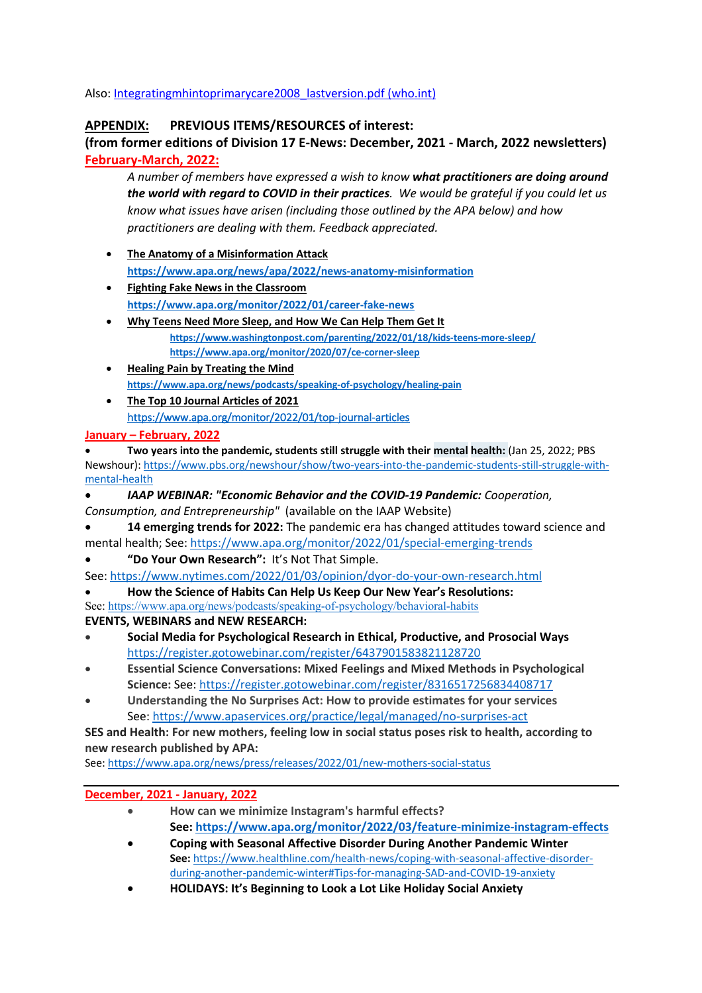Also: Integratingmhintoprimarycare2008\_lastversion.pdf (who.int)

## **APPENDIX: PREVIOUS ITEMS/RESOURCES of interest:**

**(from former editions of Division 17 E-News: December, 2021 - March, 2022 newsletters) February-March, 2022:**

*A number of members have expressed a wish to know what practitioners are doing around the world with regard to COVID in their practices. We would be grateful if you could let us know what issues have arisen (including those outlined by the APA below) and how practitioners are dealing with them. Feedback appreciated.*

- **The Anatomy of a Misinformation Attack https://www.apa.org/news/apa/2022/news-anatomy-misinformation**
- **Fighting Fake News in the Classroom https://www.apa.org/monitor/2022/01/career-fake-news**
- **Why Teens Need More Sleep, and How We Can Help Them Get It https://www.washingtonpost.com/parenting/2022/01/18/kids-teens-more-sleep/ https://www.apa.org/monitor/2020/07/ce-corner-sleep**
- **Healing Pain by Treating the Mind https://www.apa.org/news/podcasts/speaking-of-psychology/healing-pain**
- **The Top 10 Journal Articles of 2021** https://www.apa.org/monitor/2022/01/top-journal-articles

## **January – February, 2022**

• **Two years into the pandemic, students still struggle with their mental health:** (Jan 25, 2022; PBS Newshour): https://www.pbs.org/newshour/show/two-years-into-the-pandemic-students-still-struggle-withmental-health

- *IAAP WEBINAR: "Economic Behavior and the COVID-19 Pandemic: Cooperation, Consumption, and Entrepreneurship"* (available on the IAAP Website)
- **14 emerging trends for 2022:** The pandemic era has changed attitudes toward science and mental health; See: https://www.apa.org/monitor/2022/01/special-emerging-trends
- **"Do Your Own Research":** It's Not That Simple.
- See: https://www.nytimes.com/2022/01/03/opinion/dyor-do-your-own-research.html

• **How the Science of Habits Can Help Us Keep Our New Year's Resolutions:**  See: https://www.apa.org/news/podcasts/speaking-of-psychology/behavioral-habits

## **EVENTS, WEBINARS and NEW RESEARCH:**

- **Social Media for Psychological Research in Ethical, Productive, and Prosocial Ways** https://register.gotowebinar.com/register/6437901583821128720
- **Essential Science Conversations: Mixed Feelings and Mixed Methods in Psychological Science:** See: https://register.gotowebinar.com/register/8316517256834408717
- **Understanding the No Surprises Act: How to provide estimates for your services** See: https://www.apaservices.org/practice/legal/managed/no-surprises-act

## **SES and Health: For new mothers, feeling low in social status poses risk to health, according to new research published by APA:**

See: https://www.apa.org/news/press/releases/2022/01/new-mothers-social-status

## **December, 2021 - January, 2022**

- **How can we minimize Instagram's harmful effects? See: https://www.apa.org/monitor/2022/03/feature-minimize-instagram-effects**
- **Coping with Seasonal Affective Disorder During Another Pandemic Winter See:** https://www.healthline.com/health-news/coping-with-seasonal-affective-disorderduring-another-pandemic-winter#Tips-for-managing-SAD-and-COVID-19-anxiety
- **HOLIDAYS: It's Beginning to Look a Lot Like Holiday Social Anxiety**